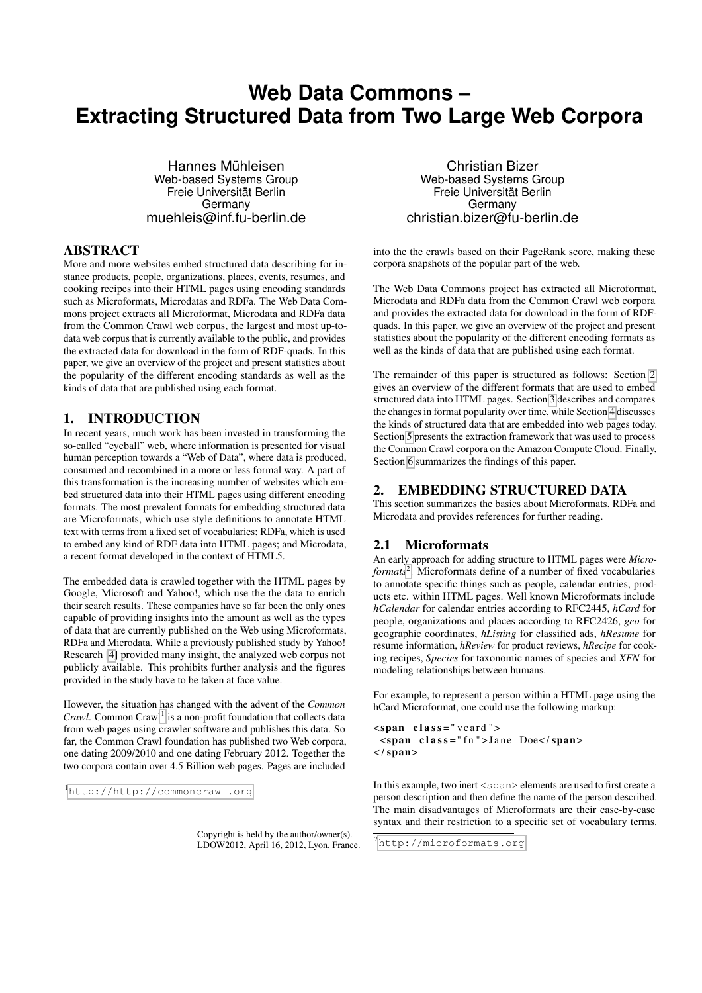# **Web Data Commons – Extracting Structured Data from Two Large Web Corpora**

Hannes Mühleisen Web-based Systems Group Freie Universität Berlin Germany muehleis@inf.fu-berlin.de

### ABSTRACT

More and more websites embed structured data describing for instance products, people, organizations, places, events, resumes, and cooking recipes into their HTML pages using encoding standards such as Microformats, Microdatas and RDFa. The Web Data Commons project extracts all Microformat, Microdata and RDFa data from the Common Crawl web corpus, the largest and most up-todata web corpus that is currently available to the public, and provides the extracted data for download in the form of RDF-quads. In this paper, we give an overview of the project and present statistics about the popularity of the different encoding standards as well as the kinds of data that are published using each format.

#### 1. INTRODUCTION

In recent years, much work has been invested in transforming the so-called "eyeball" web, where information is presented for visual human perception towards a "Web of Data", where data is produced, consumed and recombined in a more or less formal way. A part of this transformation is the increasing number of websites which embed structured data into their HTML pages using different encoding formats. The most prevalent formats for embedding structured data are Microformats, which use style definitions to annotate HTML text with terms from a fixed set of vocabularies; RDFa, which is used to embed any kind of RDF data into HTML pages; and Microdata, a recent format developed in the context of HTML5.

The embedded data is crawled together with the HTML pages by Google, Microsoft and Yahoo!, which use the the data to enrich their search results. These companies have so far been the only ones capable of providing insights into the amount as well as the types of data that are currently published on the Web using Microformats, RDFa and Microdata. While a previously published study by Yahoo! Research [\[4\]](#page-3-0) provided many insight, the analyzed web corpus not publicly available. This prohibits further analysis and the figures provided in the study have to be taken at face value.

However, the situation has changed with the advent of the *Common* Crawl. Common Crawl<sup>[1](#page-0-0)</sup> is a non-profit foundation that collects data from web pages using crawler software and publishes this data. So far, the Common Crawl foundation has published two Web corpora, one dating 2009/2010 and one dating February 2012. Together the two corpora contain over 4.5 Billion web pages. Pages are included

<span id="page-0-0"></span><sup>1</sup><http://http://commoncrawl.org>

Copyright is held by the author/owner(s). LDOW2012, April 16, 2012, Lyon, France.

Christian Bizer Web-based Systems Group Freie Universität Berlin Germany christian.bizer@fu-berlin.de

into the the crawls based on their PageRank score, making these corpora snapshots of the popular part of the web.

The Web Data Commons project has extracted all Microformat, Microdata and RDFa data from the Common Crawl web corpora and provides the extracted data for download in the form of RDFquads. In this paper, we give an overview of the project and present statistics about the popularity of the different encoding formats as well as the kinds of data that are published using each format.

The remainder of this paper is structured as follows: Section [2](#page-0-1) gives an overview of the different formats that are used to embed structured data into HTML pages. Section [3](#page-1-0) describes and compares the changes in format popularity over time, while Section [4](#page-2-0) discusses the kinds of structured data that are embedded into web pages today. Section [5](#page-3-1) presents the extraction framework that was used to process the Common Crawl corpora on the Amazon Compute Cloud. Finally, Section [6](#page-3-2) summarizes the findings of this paper.

#### <span id="page-0-1"></span>2. EMBEDDING STRUCTURED DATA

This section summarizes the basics about Microformats, RDFa and Microdata and provides references for further reading.

## 2.1 Microformats

An early approach for adding structure to HTML pages were *Microformats*[2](#page-0-2) . Microformats define of a number of fixed vocabularies to annotate specific things such as people, calendar entries, products etc. within HTML pages. Well known Microformats include *hCalendar* for calendar entries according to RFC2445, *hCard* for people, organizations and places according to RFC2426, *geo* for geographic coordinates, *hListing* for classified ads, *hResume* for resume information, *hReview* for product reviews, *hRecipe* for cooking recipes, *Species* for taxonomic names of species and *XFN* for modeling relationships between humans.

For example, to represent a person within a HTML page using the hCard Microformat, one could use the following markup:

 $<$ span class = "vcard">  $<$ span class="fn">Jane Doe</span>  $\langle$  span $>$ 

In this example, two inert <span> elements are used to first create a person description and then define the name of the person described. The main disadvantages of Microformats are their case-by-case syntax and their restriction to a specific set of vocabulary terms.

<span id="page-0-2"></span><sup>2</sup><http://microformats.org>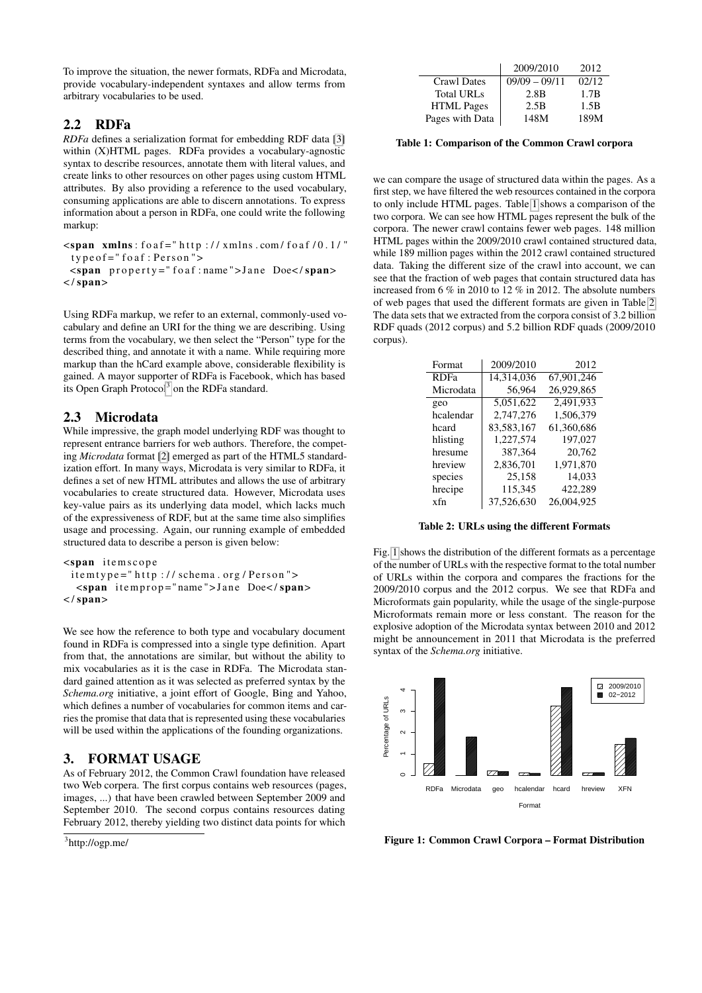To improve the situation, the newer formats, RDFa and Microdata, provide vocabulary-independent syntaxes and allow terms from arbitrary vocabularies to be used.

## 2.2 RDFa

*RDFa* defines a serialization format for embedding RDF data [\[3\]](#page-3-3) within (X)HTML pages. RDFa provides a vocabulary-agnostic syntax to describe resources, annotate them with literal values, and create links to other resources on other pages using custom HTML attributes. By also providing a reference to the used vocabulary, consuming applications are able to discern annotations. To express information about a person in RDFa, one could write the following markup:

 $\le$ span xmlns : fo a f = " http :// xmlns .com/ fo a f /0.1/"  $type of = "foaf : Person"$ 

 $\le$ span property="foaf: name">Jane Doe</span>  $\langle$ /span $\rangle$ 

Using RDFa markup, we refer to an external, commonly-used vocabulary and define an URI for the thing we are describing. Using terms from the vocabulary, we then select the "Person" type for the described thing, and annotate it with a name. While requiring more markup than the hCard example above, considerable flexibility is gained. A mayor supporter of RDFa is Facebook, which has based its Open Graph Protocol<sup>[3](#page-1-1)</sup> on the RDFa standard.

# 2.3 Microdata

While impressive, the graph model underlying RDF was thought to represent entrance barriers for web authors. Therefore, the competing *Microdata* format [\[2\]](#page-3-4) emerged as part of the HTML5 standardization effort. In many ways, Microdata is very similar to RDFa, it defines a set of new HTML attributes and allows the use of arbitrary vocabularies to create structured data. However, Microdata uses key-value pairs as its underlying data model, which lacks much of the expressiveness of RDF, but at the same time also simplifies usage and processing. Again, our running example of embedded structured data to describe a person is given below:

```
<span it e m s c o p e
 item type = " http:// schema.org/Person">
  <span itemprop="name">Jane Doe</span>
\langle/span>
```
We see how the reference to both type and vocabulary document found in RDFa is compressed into a single type definition. Apart from that, the annotations are similar, but without the ability to mix vocabularies as it is the case in RDFa. The Microdata standard gained attention as it was selected as preferred syntax by the *Schema.org* initiative, a joint effort of Google, Bing and Yahoo, which defines a number of vocabularies for common items and carries the promise that data that is represented using these vocabularies will be used within the applications of the founding organizations.

# <span id="page-1-0"></span>3. FORMAT USAGE

As of February 2012, the Common Crawl foundation have released two Web corpera. The first corpus contains web resources (pages, images, ...) that have been crawled between September 2009 and September 2010. The second corpus contains resources dating February 2012, thereby yielding two distinct data points for which

```
3
http://ogp.me/
```

|                    | 2009/2010        | 2012  |
|--------------------|------------------|-------|
| <b>Crawl Dates</b> | $09/09 - 09/11$  | 02/12 |
| <b>Total URLs</b>  | 2.8 <sub>B</sub> | 1.7B  |
| <b>HTML</b> Pages  | 2.5B             | 1.5B  |
| Pages with Data    | 148M             | 189M  |

<span id="page-1-2"></span>Table 1: Comparison of the Common Crawl corpora

we can compare the usage of structured data within the pages. As a first step, we have filtered the web resources contained in the corpora to only include HTML pages. Table [1](#page-1-2) shows a comparison of the two corpora. We can see how HTML pages represent the bulk of the corpora. The newer crawl contains fewer web pages. 148 million HTML pages within the 2009/2010 crawl contained structured data, while 189 million pages within the 2012 crawl contained structured data. Taking the different size of the crawl into account, we can see that the fraction of web pages that contain structured data has increased from 6 % in 2010 to 12 % in 2012. The absolute numbers of web pages that used the different formats are given in Table [2.](#page-1-3) The data sets that we extracted from the corpora consist of 3.2 billion RDF quads (2012 corpus) and 5.2 billion RDF quads (2009/2010 corpus).

| Format      | 2009/2010  | 2012       |
|-------------|------------|------------|
| <b>RDFa</b> | 14,314,036 | 67.901.246 |
| Microdata   | 56.964     | 26.929.865 |
| geo         | 5.051.622  | 2.491.933  |
| hcalendar   | 2.747.276  | 1,506,379  |
| hcard       | 83,583,167 | 61,360,686 |
| hlisting    | 1,227,574  | 197,027    |
| hresume     | 387.364    | 20.762     |
| hreview     | 2,836,701  | 1.971.870  |
| species     | 25.158     | 14.033     |
| hrecipe     | 115,345    | 422.289    |
| xfn         | 37,526,630 | 26.004.925 |

<span id="page-1-3"></span>Table 2: URLs using the different Formats

Fig. [1](#page-1-4) shows the distribution of the different formats as a percentage of the number of URLs with the respective format to the total number of URLs within the corpora and compares the fractions for the 2009/2010 corpus and the 2012 corpus. We see that RDFa and Microformats gain popularity, while the usage of the single-purpose Microformats remain more or less constant. The reason for the explosive adoption of the Microdata syntax between 2010 and 2012 might be announcement in 2011 that Microdata is the preferred syntax of the *Schema.org* initiative.



<span id="page-1-4"></span>Figure 1: Common Crawl Corpora – Format Distribution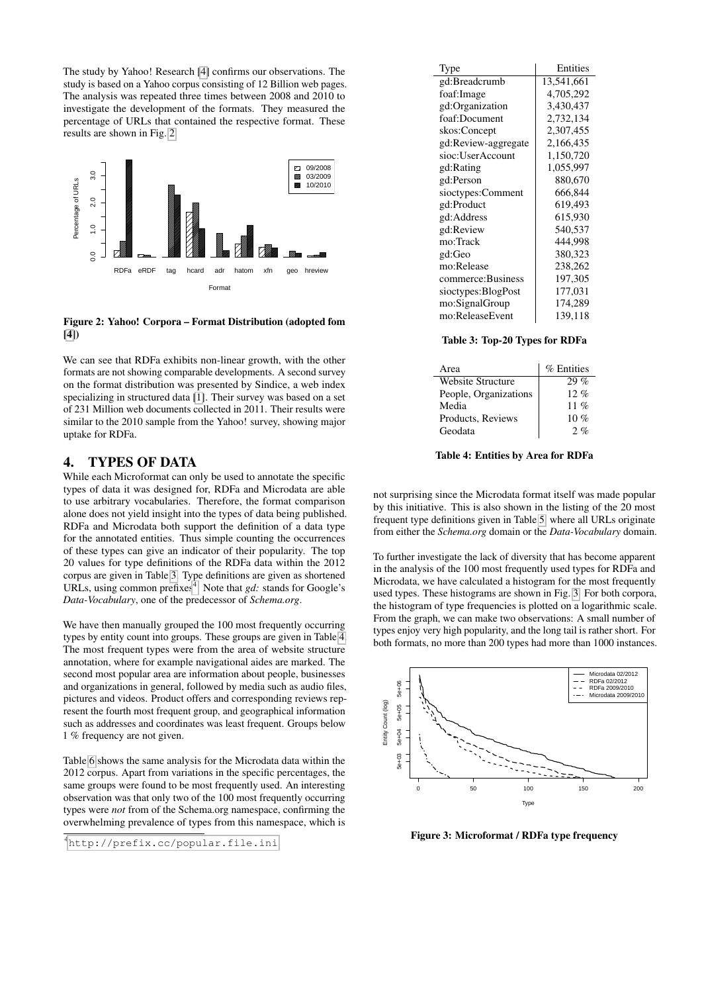The study by Yahoo! Research [\[4\]](#page-3-0) confirms our observations. The study is based on a Yahoo corpus consisting of 12 Billion web pages. The analysis was repeated three times between 2008 and 2010 to investigate the development of the formats. They measured the percentage of URLs that contained the respective format. These results are shown in Fig. [2.](#page-2-1)



<span id="page-2-1"></span>Figure 2: Yahoo! Corpora – Format Distribution (adopted fom  $[4]$ 

We can see that RDFa exhibits non-linear growth, with the other formats are not showing comparable developments. A second survey on the format distribution was presented by Sindice, a web index specializing in structured data [\[1\]](#page-3-5). Their survey was based on a set of 231 Million web documents collected in 2011. Their results were similar to the 2010 sample from the Yahoo! survey, showing major uptake for RDFa.

### <span id="page-2-0"></span>4. TYPES OF DATA

While each Microformat can only be used to annotate the specific types of data it was designed for, RDFa and Microdata are able to use arbitrary vocabularies. Therefore, the format comparison alone does not yield insight into the types of data being published. RDFa and Microdata both support the definition of a data type for the annotated entities. Thus simple counting the occurrences of these types can give an indicator of their popularity. The top 20 values for type definitions of the RDFa data within the 2012 corpus are given in Table [3.](#page-2-2) Type definitions are given as shortened URLs, using common prefixes<sup>[4](#page-2-3)</sup>. Note that *gd*: stands for Google's *Data-Vocabulary*, one of the predecessor of *Schema.org*.

We have then manually grouped the 100 most frequently occurring types by entity count into groups. These groups are given in Table [4.](#page-2-4) The most frequent types were from the area of website structure annotation, where for example navigational aides are marked. The second most popular area are information about people, businesses and organizations in general, followed by media such as audio files, pictures and videos. Product offers and corresponding reviews represent the fourth most frequent group, and geographical information such as addresses and coordinates was least frequent. Groups below 1 % frequency are not given.

Table [6](#page-3-6) shows the same analysis for the Microdata data within the 2012 corpus. Apart from variations in the specific percentages, the same groups were found to be most frequently used. An interesting observation was that only two of the 100 most frequently occurring types were *not* from of the Schema.org namespace, confirming the overwhelming prevalence of types from this namespace, which is

| Type                | Entities   |
|---------------------|------------|
| gd:Breadcrumb       | 13,541,661 |
| foaf:Image          | 4,705,292  |
| gd:Organization     | 3,430,437  |
| foaf:Document       | 2,732,134  |
| skos:Concept        | 2,307,455  |
| gd:Review-aggregate | 2,166,435  |
| sioc:UserAccount    | 1,150,720  |
| gd:Rating           | 1,055,997  |
| gd:Person           | 880,670    |
| sioctypes:Comment   | 666,844    |
| gd:Product          | 619,493    |
| gd:Address          | 615,930    |
| gd:Review           | 540,537    |
| mo:Track            | 444,998    |
| gd:Geo              | 380,323    |
| mo:Release          | 238,262    |
| commerce:Business   | 197,305    |
| sioctypes:BlogPost  | 177,031    |
| mo:SignalGroup      | 174,289    |
| mo:ReleaseEvent     | 139,118    |

<span id="page-2-2"></span>Table 3: Top-20 Types for RDFa

| Area                     | % Entities |
|--------------------------|------------|
| <b>Website Structure</b> | $29\%$     |
| People, Organizations    | $12. \%$   |
| Media                    | 11 %       |
| Products, Reviews        | $10\%$     |
| Geodata                  | 2.96       |

<span id="page-2-4"></span>Table 4: Entities by Area for RDFa

not surprising since the Microdata format itself was made popular by this initiative. This is also shown in the listing of the 20 most frequent type definitions given in Table [5,](#page-3-7) where all URLs originate from either the *Schema.org* domain or the *Data-Vocabulary* domain.

To further investigate the lack of diversity that has become apparent in the analysis of the 100 most frequently used types for RDFa and Microdata, we have calculated a histogram for the most frequently used types. These histograms are shown in Fig. [3.](#page-2-5) For both corpora, the histogram of type frequencies is plotted on a logarithmic scale. From the graph, we can make two observations: A small number of types enjoy very high popularity, and the long tail is rather short. For both formats, no more than 200 types had more than 1000 instances.



<span id="page-2-5"></span>Figure 3: Microformat / RDFa type frequency

<span id="page-2-3"></span><sup>4</sup><http://prefix.cc/popular.file.ini>